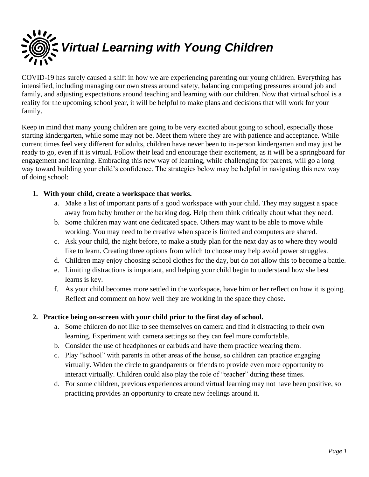

COVID-19 has surely caused a shift in how we are experiencing parenting our young children. Everything has intensified, including managing our own stress around safety, balancing competing pressures around job and family, and adjusting expectations around teaching and learning with our children. Now that virtual school is a reality for the upcoming school year, it will be helpful to make plans and decisions that will work for your family.

Keep in mind that many young children are going to be very excited about going to school, especially those starting kindergarten, while some may not be. Meet them where they are with patience and acceptance. While current times feel very different for adults, children have never been to in-person kindergarten and may just be ready to go, even if it is virtual. Follow their lead and encourage their excitement, as it will be a springboard for engagement and learning. Embracing this new way of learning, while challenging for parents, will go a long way toward building your child's confidence. The strategies below may be helpful in navigating this new way of doing school:

# **1. With your child, create a workspace that works.**

- a. Make a list of important parts of a good workspace with your child. They may suggest a space away from baby brother or the barking dog. Help them think critically about what they need.
- b. Some children may want one dedicated space. Others may want to be able to move while working. You may need to be creative when space is limited and computers are shared.
- c. Ask your child, the night before, to make a study plan for the next day as to where they would like to learn. Creating three options from which to choose may help avoid power struggles.
- d. Children may enjoy choosing school clothes for the day, but do not allow this to become a battle.
- e. Limiting distractions is important, and helping your child begin to understand how she best learns is key.
- f. As your child becomes more settled in the workspace, have him or her reflect on how it is going. Reflect and comment on how well they are working in the space they chose.

# **2. Practice being on-screen with your child prior to the first day of school.**

- a. Some children do not like to see themselves on camera and find it distracting to their own learning. Experiment with camera settings so they can feel more comfortable.
- b. Consider the use of headphones or earbuds and have them practice wearing them.
- c. Play "school" with parents in other areas of the house, so children can practice engaging virtually. Widen the circle to grandparents or friends to provide even more opportunity to interact virtually. Children could also play the role of "teacher" during these times.
- d. For some children, previous experiences around virtual learning may not have been positive, so practicing provides an opportunity to create new feelings around it.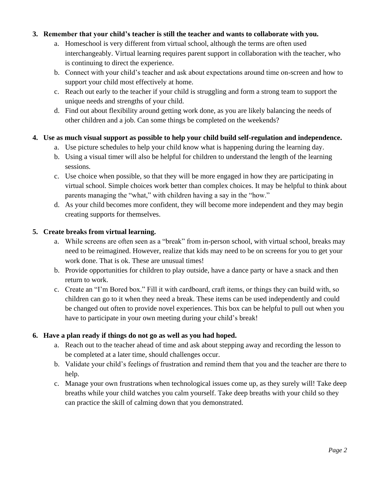## **3. Remember that your child's teacher is still the teacher and wants to collaborate with you.**

- a. Homeschool is very different from virtual school, although the terms are often used interchangeably. Virtual learning requires parent support in collaboration with the teacher, who is continuing to direct the experience.
- b. Connect with your child's teacher and ask about expectations around time on-screen and how to support your child most effectively at home.
- c. Reach out early to the teacher if your child is struggling and form a strong team to support the unique needs and strengths of your child.
- d. Find out about flexibility around getting work done, as you are likely balancing the needs of other children and a job. Can some things be completed on the weekends?

# **4. Use as much visual support as possible to help your child build self-regulation and independence.**

- a. Use picture schedules to help your child know what is happening during the learning day.
- b. Using a visual timer will also be helpful for children to understand the length of the learning sessions.
- c. Use choice when possible, so that they will be more engaged in how they are participating in virtual school. Simple choices work better than complex choices. It may be helpful to think about parents managing the "what," with children having a say in the "how."
- d. As your child becomes more confident, they will become more independent and they may begin creating supports for themselves.

## **5. Create breaks from virtual learning.**

- a. While screens are often seen as a "break" from in-person school, with virtual school, breaks may need to be reimagined. However, realize that kids may need to be on screens for you to get your work done. That is ok. These are unusual times!
- b. Provide opportunities for children to play outside, have a dance party or have a snack and then return to work.
- c. Create an "I'm Bored box." Fill it with cardboard, craft items, or things they can build with, so children can go to it when they need a break. These items can be used independently and could be changed out often to provide novel experiences. This box can be helpful to pull out when you have to participate in your own meeting during your child's break!

### **6. Have a plan ready if things do not go as well as you had hoped.**

- a. Reach out to the teacher ahead of time and ask about stepping away and recording the lesson to be completed at a later time, should challenges occur.
- b. Validate your child's feelings of frustration and remind them that you and the teacher are there to help.
- c. Manage your own frustrations when technological issues come up, as they surely will! Take deep breaths while your child watches you calm yourself. Take deep breaths with your child so they can practice the skill of calming down that you demonstrated.